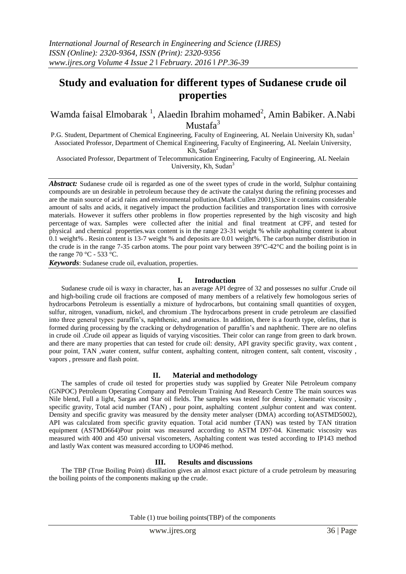# **Study and evaluation for different types of Sudanese crude oil properties**

Wamda faisal Elmobarak<sup>1</sup>, Alaedin Ibrahim mohamed<sup>2</sup>, Amin Babiker. A.Nabi Mustafa<sup>3</sup>

P.G. Student, Department of Chemical Engineering, Faculty of Engineering, AL Neelain University Kh, sudan<sup>1</sup> Associated Professor, Department of Chemical Engineering, Faculty of Engineering, AL Neelain University,

Kh, Sudan<sup>2</sup>

Associated Professor, Department of Telecommunication Engineering, Faculty of Engineering, AL Neelain University, Kh, Sudan<sup>3</sup>

*Abstract:* Sudanese crude oil is regarded as one of the sweet types of crude in the world, Sulphur containing compounds are un desirable in petroleum because they de activate the catalyst during the refining processes and are the main source of acid rains and environmental pollution.(Mark Cullen 2001),Since it contains considerable amount of salts and acids, it negatively impact the production facilities and transportation lines with corrosive materials. However it suffers other problems in flow properties represented by the high viscosity and high percentage of wax. Samples were collected after the initial and final treatment at CPF, and tested for physical and chemical properties.wax content is in the range 23-31 weight % while asphalting content is about 0.1 weight% . Resin content is 13-7 weight % and deposits are 0.01 weight%. The carbon number distribution in the crude is in the range 7-35 carbon atoms. The pour point vary between 39°C-42°C and the boiling point is in the range 70 °C - 533 °C.

*Keywords*: Sudanese crude oil, evaluation, properties.

#### **I. Introduction**

Sudanese crude oil is waxy in character, has an average API degree of 32 and possesses no sulfur .Crude oil and high-boiling crude oil fractions are composed of many members of a relatively few homologous series of hydrocarbons Petroleum is essentially a mixture of hydrocarbons, but containing small quantities of oxygen, sulfur, nitrogen, vanadium, nickel, and chromium .The hydrocarbons present in crude petroleum are classified into three general types: paraffin's, naphthenic, and aromatics. In addition, there is a fourth type, olefins, that is formed during processing by the cracking or dehydrogenation of paraffin's and naphthenic. There are no olefins in crude oil .Crude oil appear as liquids of varying viscosities. Their color can range from green to dark brown. and there are many properties that can tested for crude oil: density, API gravity specific gravity, wax content , pour point, TAN ,water content, sulfur content, asphalting content, nitrogen content, salt content, viscosity , vapors , pressure and flash point.

# **II. Material and methodology**

The samples of crude oil tested for properties study was supplied by Greater Nile Petroleum company (GNPOC) Petroleum Operating Company and Petroleum Training And Research Centre The main sources was Nile blend, Full a light, Sargas and Star oil fields. The samples was tested for density , kinematic viscosity , specific gravity, Total acid number (TAN) , pour point, asphalting content ,sulphur content and wax content. Density and specific gravity was measured by the density meter analyser (DMA) according to(ASTMD5002), API was calculated from specific gravity equation. Total acid number (TAN) was tested by TAN titration equipment (ASTMD664)Pour point was measured according to ASTM D97-04. Kinematic viscosity was measured with 400 and 450 universal viscometers, Asphalting content was tested according to IP143 method and lastly Wax content was measured according to UOP46 method.

# **III. Results and discussions**

The TBP (True Boiling Point) distillation gives an almost exact picture of a crude petroleum by measuring the boiling points of the components making up the crude.

Table (1) true boiling points(TBP) of the components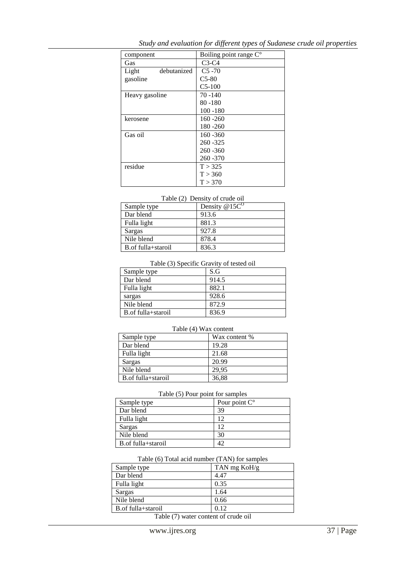| component            | Boiling point range C° |
|----------------------|------------------------|
| Gas                  | $C3-C4$                |
| Light<br>debutanized | $C5 - 70$              |
| gasoline             | $C5-80$                |
|                      | $C5-100$               |
| Heavy gasoline       | $70 - 140$             |
|                      | $80 - 180$             |
|                      | $100 - 180$            |
| kerosene             | $160 - 260$            |
|                      | $180 - 260$            |
| Gas oil              | $160 - 360$            |
|                      | $260 - 325$            |
|                      | $260 - 360$            |
|                      | 260 - 370              |
| residue              | T > 325                |
|                      | T > 360                |
|                      | T > 370                |

*Study and evaluation for different types of Sudanese crude oil properties*

# Table (2) Density of crude oil

| Sample type        | Density $@15C^0$ |
|--------------------|------------------|
| Dar blend          | 913.6            |
| Fulla light        | 881.3            |
| Sargas             | 927.8            |
| Nile blend         | 878.4            |
| B.of fulla+staroil | 836.3            |

### Table (3) Specific Gravity of tested oil

| Sample type           | S.G   |
|-----------------------|-------|
| Dar blend             | 914.5 |
| Fulla light           | 882.1 |
| sargas                | 928.6 |
| Nile blend            | 872.9 |
| B. of fulla + staroil | 836.9 |

#### Table (4) Wax content

| Sample type        | Wax content % |
|--------------------|---------------|
| Dar blend          | 19.28         |
| Fulla light        | 21.68         |
| Sargas             | 20.99         |
| Nile blend         | 29.95         |
| B.of fulla+staroil | 36.88         |

### Table (5) Pour point for samples

| Sample type        | Pour point $C^{\circ}$ |
|--------------------|------------------------|
| Dar blend          | 39                     |
| Fulla light        | 12                     |
| Sargas             |                        |
| Nile blend         | 30                     |
| B.of fulla+staroil |                        |

# Table (6) Total acid number (TAN) for samples

| Sample type                                                                           | TAN mg KoH/g |
|---------------------------------------------------------------------------------------|--------------|
| Dar blend                                                                             | 4.47         |
| Fulla light                                                                           | 0.35         |
| Sargas                                                                                | 1.64         |
| Nile blend                                                                            | 0.66         |
| B.of fulla+staroil                                                                    | 0.12         |
| $\mathbf{m}$ 11 $\mathbf{m}$ . The state of $\mathbf{m}$ is the state of $\mathbf{m}$ |              |

Table (7) water content of crude oil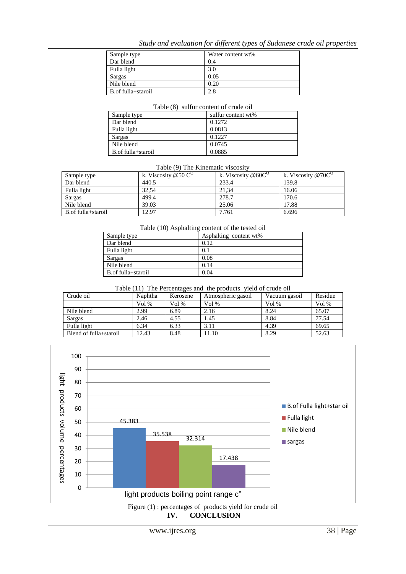# *Study and evaluation for different types of Sudanese crude oil properties*

| Sample type        | Water content wt% |
|--------------------|-------------------|
| Dar blend          | 0.4               |
| Fulla light        | 3.0               |
| Sargas             | 0.05              |
| Nile blend         | 0.20              |
| B.of fulla+staroil |                   |

#### Table (8) sulfur content of crude oil

| Sample type        | sulfur content wt% |
|--------------------|--------------------|
| Dar blend          | 0.1272             |
| Fulla light        | 0.0813             |
| Sargas             | 0.1227             |
| Nile blend         | 0.0745             |
| B.of fulla+staroil | 0.0885             |

# Table (9) The Kinematic viscosity

| Sample type        | k. Viscosity @50 $C^O$ | k. Viscosity @60 $C^O$ | k. Viscosity @70 $C^{O}$ |
|--------------------|------------------------|------------------------|--------------------------|
| Dar blend          | 440.5                  | 233.4                  | 139.8                    |
| Fulla light        | 32.54                  | 21.34                  | 16.06                    |
| Sargas             | 499.4                  | 278.7                  | 170.6                    |
| Nile blend         | 39.03                  | 25.06                  | 17.88                    |
| B.of fulla+staroil | 12.97                  | 7.761                  | 6.696                    |

#### Table (10) Asphalting content of the tested oil

| Sample type        | Asphalting content wt% |
|--------------------|------------------------|
| Dar blend          | 0.12                   |
| Fulla light        | 0.1                    |
| Sargas             | 0.08                   |
| Nile blend         | 0.14                   |
| B.of fulla+staroil | 0.04                   |

# Table (11) The Percentages and the products yield of crude oil

| Crude oil              | Naphtha | Kerosene | Atmospheric gasoil | Vacuum gasoil | Residue |
|------------------------|---------|----------|--------------------|---------------|---------|
|                        | Vol %   | Vol %    | Vol $%$            | Vol %         | Vol $%$ |
| Nile blend             | 2.99    | 6.89     | 2.16               | 8.24          | 65.07   |
| Sargas                 | 2.46    | 4.55     | 1.45               | 8.84          | 77.54   |
| Fulla light            | 6.34    | 6.33     | 3.11               | 4.39          | 69.65   |
| Blend of fulla+staroil | 12.43   | 8.48     | 11.10              | 8.29          | 52.63   |